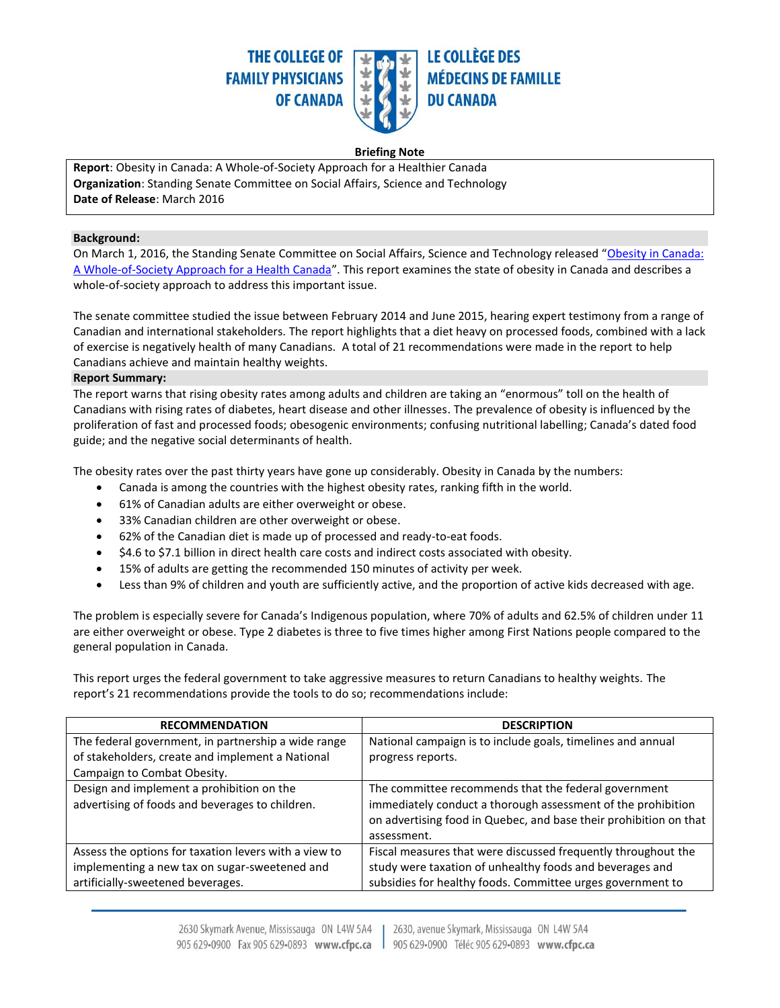

### **Briefing Note**

**Report**: Obesity in Canada: A Whole-of-Society Approach for a Healthier Canada **Organization**: Standing Senate Committee on Social Affairs, Science and Technology **Date of Release**: March 2016

### **Background:**

On March 1, 2016, the Standing Senate Committee on Social Affairs, Science and Technology released "[Obesity in Canada:](http://www.parl.gc.ca/content/sen/committee/421/SOCI/Reports/2016-02-25_Revised_report_Obesity_in_Canada_e.pdf)  [A Whole-of-Society Approach for a Health Canada](http://www.parl.gc.ca/content/sen/committee/421/SOCI/Reports/2016-02-25_Revised_report_Obesity_in_Canada_e.pdf)". This report examines the state of obesity in Canada and describes a whole-of-society approach to address this important issue.

The senate committee studied the issue between February 2014 and June 2015, hearing expert testimony from a range of Canadian and international stakeholders. The report highlights that a diet heavy on processed foods, combined with a lack of exercise is negatively health of many Canadians. A total of 21 recommendations were made in the report to help Canadians achieve and maintain healthy weights.

### **Report Summary:**

The report warns that rising obesity rates among adults and children are taking an "enormous" toll on the health of Canadians with rising rates of diabetes, heart disease and other illnesses. The prevalence of obesity is influenced by the proliferation of fast and processed foods; obesogenic environments; confusing nutritional labelling; Canada's dated food guide; and the negative social determinants of health.

The obesity rates over the past thirty years have gone up considerably. Obesity in Canada by the numbers:

- Canada is among the countries with the highest obesity rates, ranking fifth in the world.
- 61% of Canadian adults are either overweight or obese.
- 33% Canadian children are other overweight or obese.
- 62% of the Canadian diet is made up of processed and ready-to-eat foods.
- $\bullet$  \$4.6 to \$7.1 billion in direct health care costs and indirect costs associated with obesity.
- 15% of adults are getting the recommended 150 minutes of activity per week.
- Less than 9% of children and youth are sufficiently active, and the proportion of active kids decreased with age.

The problem is especially severe for Canada's Indigenous population, where 70% of adults and 62.5% of children under 11 are either overweight or obese. Type 2 diabetes is three to five times higher among First Nations people compared to the general population in Canada.

This report urges the federal government to take aggressive measures to return Canadians to healthy weights. The report's 21 recommendations provide the tools to do so; recommendations include:

| <b>RECOMMENDATION</b>                                                                                                                       | <b>DESCRIPTION</b>                                                                                                                                                                                       |
|---------------------------------------------------------------------------------------------------------------------------------------------|----------------------------------------------------------------------------------------------------------------------------------------------------------------------------------------------------------|
| The federal government, in partnership a wide range<br>of stakeholders, create and implement a National                                     | National campaign is to include goals, timelines and annual<br>progress reports.                                                                                                                         |
| Campaign to Combat Obesity.                                                                                                                 |                                                                                                                                                                                                          |
| Design and implement a prohibition on the<br>advertising of foods and beverages to children.                                                | The committee recommends that the federal government<br>immediately conduct a thorough assessment of the prohibition<br>on advertising food in Quebec, and base their prohibition on that<br>assessment. |
| Assess the options for taxation levers with a view to<br>implementing a new tax on sugar-sweetened and<br>artificially-sweetened beverages. | Fiscal measures that were discussed frequently throughout the<br>study were taxation of unhealthy foods and beverages and<br>subsidies for healthy foods. Committee urges government to                  |